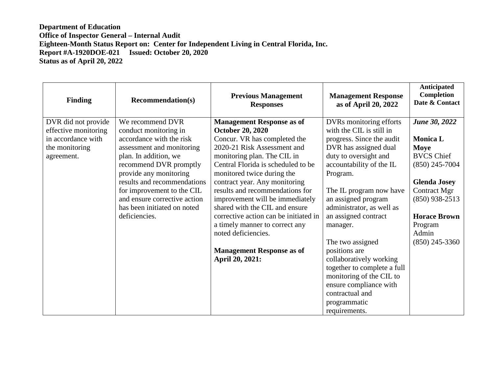| <b>Finding</b>       | <b>Recommendation(s)</b>     | <b>Previous Management</b><br><b>Responses</b> | <b>Management Response</b><br>as of April 20, 2022 | Anticipated<br>Completion<br>Date & Contact |
|----------------------|------------------------------|------------------------------------------------|----------------------------------------------------|---------------------------------------------|
| DVR did not provide  | We recommend DVR             | <b>Management Response as of</b>               | DVRs monitoring efforts                            | <b>June 30, 2022</b>                        |
| effective monitoring | conduct monitoring in        | <b>October 20, 2020</b>                        | with the CIL is still in                           |                                             |
| in accordance with   | accordance with the risk     | Concur. VR has completed the                   | progress. Since the audit                          | <b>Monica L</b>                             |
| the monitoring       | assessment and monitoring    | 2020-21 Risk Assessment and                    | DVR has assigned dual                              | Moye                                        |
| agreement.           | plan. In addition, we        | monitoring plan. The CIL in                    | duty to oversight and                              | <b>BVCS Chief</b>                           |
|                      | recommend DVR promptly       | Central Florida is scheduled to be             | accountability of the IL                           | $(850)$ 245-7004                            |
|                      | provide any monitoring       | monitored twice during the                     | Program.                                           |                                             |
|                      | results and recommendations  | contract year. Any monitoring                  |                                                    | <b>Glenda Josey</b>                         |
|                      | for improvement to the CIL   | results and recommendations for                | The IL program now have                            | Contract Mgr                                |
|                      | and ensure corrective action | improvement will be immediately                | an assigned program                                | $(850)$ 938-2513                            |
|                      | has been initiated on noted  | shared with the CIL and ensure                 | administrator, as well as                          |                                             |
|                      | deficiencies.                | corrective action can be initiated in          | an assigned contract                               | <b>Horace Brown</b>                         |
|                      |                              | a timely manner to correct any                 | manager.                                           | Program                                     |
|                      |                              | noted deficiencies.                            |                                                    | Admin                                       |
|                      |                              |                                                | The two assigned                                   | $(850)$ 245-3360                            |
|                      |                              | <b>Management Response as of</b>               | positions are                                      |                                             |
|                      |                              | April 20, 2021:                                | collaboratively working                            |                                             |
|                      |                              |                                                | together to complete a full                        |                                             |
|                      |                              |                                                | monitoring of the CIL to                           |                                             |
|                      |                              |                                                | ensure compliance with                             |                                             |
|                      |                              |                                                | contractual and                                    |                                             |
|                      |                              |                                                | programmatic                                       |                                             |
|                      |                              |                                                | requirements.                                      |                                             |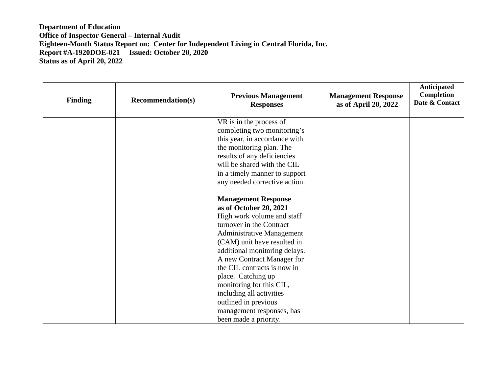| <b>Finding</b> | <b>Recommendation(s)</b> | <b>Previous Management</b><br><b>Responses</b>                                                                                                                                    | <b>Management Response</b><br>as of April 20, 2022 | Anticipated<br>Completion<br>Date & Contact |
|----------------|--------------------------|-----------------------------------------------------------------------------------------------------------------------------------------------------------------------------------|----------------------------------------------------|---------------------------------------------|
|                |                          | VR is in the process of<br>completing two monitoring's<br>this year, in accordance with<br>the monitoring plan. The<br>results of any deficiencies<br>will be shared with the CIL |                                                    |                                             |
|                |                          | in a timely manner to support<br>any needed corrective action.                                                                                                                    |                                                    |                                             |
|                |                          | <b>Management Response</b><br>as of October 20, 2021<br>High work volume and staff                                                                                                |                                                    |                                             |
|                |                          | turnover in the Contract<br><b>Administrative Management</b><br>(CAM) unit have resulted in                                                                                       |                                                    |                                             |
|                |                          | additional monitoring delays.<br>A new Contract Manager for<br>the CIL contracts is now in                                                                                        |                                                    |                                             |
|                |                          | place. Catching up<br>monitoring for this CIL,<br>including all activities                                                                                                        |                                                    |                                             |
|                |                          | outlined in previous<br>management responses, has<br>been made a priority.                                                                                                        |                                                    |                                             |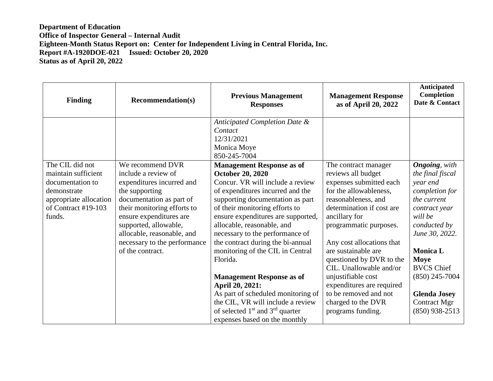| <b>Finding</b>                                                                                                                       | <b>Recommendation(s)</b>                                                                                                                                                                                                                                                                | <b>Previous Management</b><br><b>Responses</b>                                                                                                                                                                                                                                                                                                                                                                                                                                                                                                                                                                  | <b>Management Response</b><br>as of April 20, 2022                                                                                                                                                                                                                                                                                                                                                                               | Anticipated<br>Completion<br>Date & Contact                                                                                                                                                                                                                                         |
|--------------------------------------------------------------------------------------------------------------------------------------|-----------------------------------------------------------------------------------------------------------------------------------------------------------------------------------------------------------------------------------------------------------------------------------------|-----------------------------------------------------------------------------------------------------------------------------------------------------------------------------------------------------------------------------------------------------------------------------------------------------------------------------------------------------------------------------------------------------------------------------------------------------------------------------------------------------------------------------------------------------------------------------------------------------------------|----------------------------------------------------------------------------------------------------------------------------------------------------------------------------------------------------------------------------------------------------------------------------------------------------------------------------------------------------------------------------------------------------------------------------------|-------------------------------------------------------------------------------------------------------------------------------------------------------------------------------------------------------------------------------------------------------------------------------------|
|                                                                                                                                      |                                                                                                                                                                                                                                                                                         | Anticipated Completion Date &<br>Contact<br>12/31/2021<br>Monica Moye<br>850-245-7004                                                                                                                                                                                                                                                                                                                                                                                                                                                                                                                           |                                                                                                                                                                                                                                                                                                                                                                                                                                  |                                                                                                                                                                                                                                                                                     |
| The CIL did not<br>maintain sufficient<br>documentation to<br>demonstrate<br>appropriate allocation<br>of Contract #19-103<br>funds. | We recommend DVR<br>include a review of<br>expenditures incurred and<br>the supporting<br>documentation as part of<br>their monitoring efforts to<br>ensure expenditures are<br>supported, allowable,<br>allocable, reasonable, and<br>necessary to the performance<br>of the contract. | <b>Management Response as of</b><br><b>October 20, 2020</b><br>Concur. VR will include a review<br>of expenditures incurred and the<br>supporting documentation as part<br>of their monitoring efforts to<br>ensure expenditures are supported,<br>allocable, reasonable, and<br>necessary to the performance of<br>the contract during the bi-annual<br>monitoring of the CIL in Central<br>Florida.<br><b>Management Response as of</b><br>April 20, 2021:<br>As part of scheduled monitoring of<br>the CIL, VR will include a review<br>of selected $1st$ and $3rd$ quarter<br>expenses based on the monthly | The contract manager<br>reviews all budget<br>expenses submitted each<br>for the allowableness,<br>reasonableness, and<br>determination if cost are<br>ancillary for<br>programmatic purposes.<br>Any cost allocations that<br>are sustainable are<br>questioned by DVR to the<br>CIL. Unallowable and/or<br>unjustifiable cost<br>expenditures are required<br>to be removed and not<br>charged to the DVR<br>programs funding. | <b>Ongoing</b> , with<br>the final fiscal<br>year end<br>completion for<br>the current<br>contract year<br>will be<br>conducted by<br>June 30, 2022.<br><b>Monica L</b><br>Moye<br><b>BVCS Chief</b><br>$(850)$ 245-7004<br><b>Glenda Josey</b><br>Contract Mgr<br>$(850)$ 938-2513 |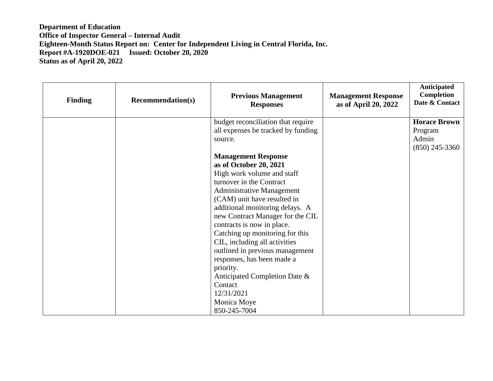| <b>Finding</b> | <b>Recommendation(s)</b> | <b>Previous Management</b><br><b>Responses</b> | <b>Management Response</b><br>as of April 20, 2022 | Anticipated<br>Completion<br>Date & Contact |
|----------------|--------------------------|------------------------------------------------|----------------------------------------------------|---------------------------------------------|
|                |                          | budget reconciliation that require             |                                                    | <b>Horace Brown</b>                         |
|                |                          | all expenses be tracked by funding             |                                                    | Program                                     |
|                |                          | source.                                        |                                                    | Admin<br>$(850)$ 245-3360                   |
|                |                          | <b>Management Response</b>                     |                                                    |                                             |
|                |                          | as of October 20, 2021                         |                                                    |                                             |
|                |                          | High work volume and staff                     |                                                    |                                             |
|                |                          | turnover in the Contract                       |                                                    |                                             |
|                |                          | <b>Administrative Management</b>               |                                                    |                                             |
|                |                          | (CAM) unit have resulted in                    |                                                    |                                             |
|                |                          | additional monitoring delays. A                |                                                    |                                             |
|                |                          | new Contract Manager for the CIL               |                                                    |                                             |
|                |                          | contracts is now in place.                     |                                                    |                                             |
|                |                          | Catching up monitoring for this                |                                                    |                                             |
|                |                          | CIL, including all activities                  |                                                    |                                             |
|                |                          | outlined in previous management                |                                                    |                                             |
|                |                          | responses, has been made a                     |                                                    |                                             |
|                |                          | priority.                                      |                                                    |                                             |
|                |                          | Anticipated Completion Date &                  |                                                    |                                             |
|                |                          | Contact                                        |                                                    |                                             |
|                |                          | 12/31/2021                                     |                                                    |                                             |
|                |                          | Monica Moye                                    |                                                    |                                             |
|                |                          | 850-245-7004                                   |                                                    |                                             |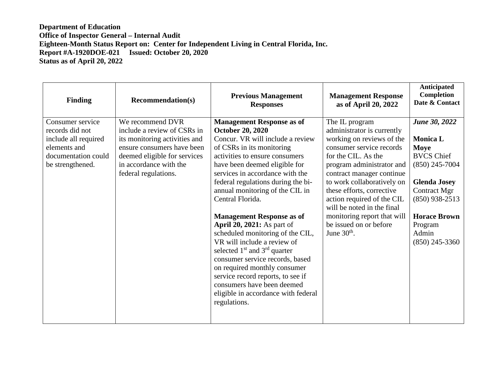| <b>Finding</b>                                                                                                         | <b>Recommendation(s)</b>                                                                                                                                                                         | <b>Previous Management</b><br><b>Responses</b>                                                                                                                                                                                                                                                                                                                                                                                                                                                                                                                                                                                                                                                               | <b>Management Response</b><br>as of April 20, 2022                                                                                                                                                                                                                                                                                                                                      | Anticipated<br><b>Completion</b><br>Date & Contact                                                                                                                                                                        |
|------------------------------------------------------------------------------------------------------------------------|--------------------------------------------------------------------------------------------------------------------------------------------------------------------------------------------------|--------------------------------------------------------------------------------------------------------------------------------------------------------------------------------------------------------------------------------------------------------------------------------------------------------------------------------------------------------------------------------------------------------------------------------------------------------------------------------------------------------------------------------------------------------------------------------------------------------------------------------------------------------------------------------------------------------------|-----------------------------------------------------------------------------------------------------------------------------------------------------------------------------------------------------------------------------------------------------------------------------------------------------------------------------------------------------------------------------------------|---------------------------------------------------------------------------------------------------------------------------------------------------------------------------------------------------------------------------|
| Consumer service<br>records did not<br>include all required<br>elements and<br>documentation could<br>be strengthened. | We recommend DVR<br>include a review of CSRs in<br>its monitoring activities and<br>ensure consumers have been<br>deemed eligible for services<br>in accordance with the<br>federal regulations. | <b>Management Response as of</b><br><b>October 20, 2020</b><br>Concur. VR will include a review<br>of CSRs in its monitoring<br>activities to ensure consumers<br>have been deemed eligible for<br>services in accordance with the<br>federal regulations during the bi-<br>annual monitoring of the CIL in<br>Central Florida.<br><b>Management Response as of</b><br><b>April 20, 2021:</b> As part of<br>scheduled monitoring of the CIL,<br>VR will include a review of<br>selected $1st$ and $3rd$ quarter<br>consumer service records, based<br>on required monthly consumer<br>service record reports, to see if<br>consumers have been deemed<br>eligible in accordance with federal<br>regulations. | The IL program<br>administrator is currently<br>working on reviews of the<br>consumer service records<br>for the CIL. As the<br>program administrator and<br>contract manager continue<br>to work collaboratively on<br>these efforts, corrective<br>action required of the CIL<br>will be noted in the final<br>monitoring report that will<br>be issued on or before<br>June $30th$ . | <b>June 30, 2022</b><br><b>Monica L</b><br>Moye<br><b>BVCS Chief</b><br>$(850)$ 245-7004<br><b>Glenda Josey</b><br><b>Contract Mgr</b><br>$(850)$ 938-2513<br><b>Horace Brown</b><br>Program<br>Admin<br>$(850)$ 245-3360 |